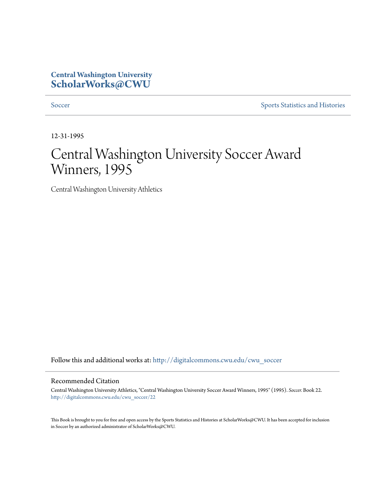## **Central Washington University [ScholarWorks@CWU](http://digitalcommons.cwu.edu?utm_source=digitalcommons.cwu.edu%2Fcwu_soccer%2F22&utm_medium=PDF&utm_campaign=PDFCoverPages)**

[Soccer](http://digitalcommons.cwu.edu/cwu_soccer?utm_source=digitalcommons.cwu.edu%2Fcwu_soccer%2F22&utm_medium=PDF&utm_campaign=PDFCoverPages) [Sports Statistics and Histories](http://digitalcommons.cwu.edu/cwu_sports_statistics?utm_source=digitalcommons.cwu.edu%2Fcwu_soccer%2F22&utm_medium=PDF&utm_campaign=PDFCoverPages)

12-31-1995

# Central Washington University Soccer Award Winners, 1995

Central Washington University Athletics

Follow this and additional works at: [http://digitalcommons.cwu.edu/cwu\\_soccer](http://digitalcommons.cwu.edu/cwu_soccer?utm_source=digitalcommons.cwu.edu%2Fcwu_soccer%2F22&utm_medium=PDF&utm_campaign=PDFCoverPages)

#### Recommended Citation

Central Washington University Athletics, "Central Washington University Soccer Award Winners, 1995" (1995). *Soccer.* Book 22. [http://digitalcommons.cwu.edu/cwu\\_soccer/22](http://digitalcommons.cwu.edu/cwu_soccer/22?utm_source=digitalcommons.cwu.edu%2Fcwu_soccer%2F22&utm_medium=PDF&utm_campaign=PDFCoverPages)

This Book is brought to you for free and open access by the Sports Statistics and Histories at ScholarWorks@CWU. It has been accepted for inclusion in Soccer by an authorized administrator of ScholarWorks@CWU.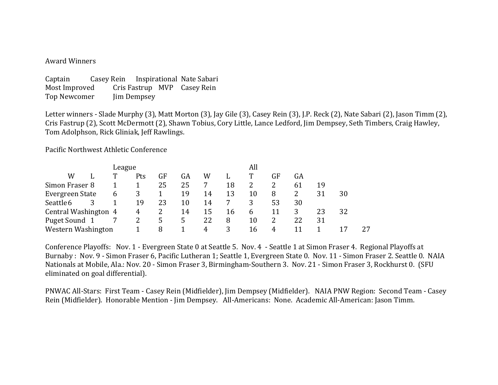#### Award Winners

| Captain       |  |             | Casey Rein Inspirational Nate Sabari |
|---------------|--|-------------|--------------------------------------|
| Most Improved |  |             | Cris Fastrup MVP Casey Rein          |
| Top Newcomer  |  | Jim Dempsey |                                      |

Letter winners - Slade Murphy (3), Matt Morton (3), Jay Gile (3), Casey Rein (3), J.P. Reck (2), Nate Sabari (2), Jason Timm (2), Cris Fastrup (2), Scott McDermott (2), Shawn Tobius, Cory Little, Lance Ledford, Jim Dempsey, Seth Timbers, Craig Hawley, Tom Adolphson, Rick Gliniak, Jeff Rawlings.

Pacific Northwest Athletic Conference

|                      |   |     | All |    |    |    |               |    |    |    |    |    |
|----------------------|---|-----|-----|----|----|----|---------------|----|----|----|----|----|
| W                    |   | Pts | GF  | GA | W  |    | т             | GF | GA |    |    |    |
| Simon Fraser 8       |   |     | 25  | 25 |    | 18 |               |    | 61 | 19 |    |    |
| Evergreen State      | 6 |     |     | 19 | 14 | 13 | 10            | 8  |    | 31 | 30 |    |
| Seattle 6            |   | 19  | 23  | 10 | 14 |    | 3             | 53 | 30 |    |    |    |
| Central Washington 4 |   | 4   |     | 14 | 15 | 16 | $\mathfrak b$ | 11 |    | 23 | 32 |    |
| Puget Sound 1        |   |     | 5   | 5. | 22 | 8  | 10            |    | 22 | 31 |    |    |
| Western Washington   |   |     | 8   |    | 4  | 3  | 16            | 4  |    |    |    | 27 |

Conference Playoffs: Nov. 1 - Evergreen State 0 at Seattle 5. Nov. 4 - Seattle 1 at Simon Fraser 4. Regional Playoffs at Burnaby : Nov. 9 - Simon Fraser 6, Pacific Lutheran 1; Seattle 1, Evergreen State 0. Nov. 11 - Simon Fraser 2. Seattle 0. NAIA Nationals at Mobile, Ala.: Nov. 20 - Simon Fraser 3, Birmingham-Southern 3. Nov. 21 - Simon Fraser 3, Rockhurst 0. (SFU eliminated on goal differential).

PNWAC All-Stars: First Team - Casey Rein (Midfielder), Jim Dempsey (Midfielder). NAIA PNW Region: Second Team - Casey Rein (Midfielder). Honorable Mention - Jim Dempsey. All-Americans: None. Academic All-American: Jason Timm.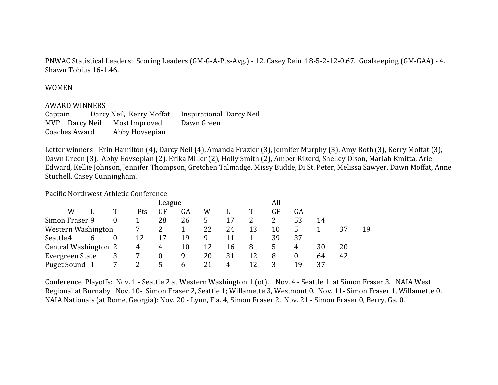PNWAC Statistical Leaders: Scoring Leaders (GM-G-A-Pts-Avg.) - 12. Casey Rein 18-5-2-12-0.67. Goalkeeping (GM-GAA) - 4. Shawn Tobius 16-1.46.

#### WOMEN

#### **AWARD WINNERS**

Captain Darcy Neil, Kerry Moffat Inspirational Darcy Neil MVP Darcy Neil Most Improved Dawn Green Coaches Award Abby Hovsepian

Letter winners - Erin Hamilton (4), Darcy Neil (4), Amanda Frazier (3), Jennifer Murphy (3), Amy Roth (3), Kerry Moffat (3), Dawn Green (3), Abby Hovsepian (2), Erika Miller (2), Holly Smith (2), Amber Rikerd, Shelley Olson, Mariah Kmitta, Arie Edward, Kellie Johnson, Jennifer Thompson, Gretchen Talmadge, Missy Budde, Di St. Peter, Melissa Sawyer, Dawn Moffat, Anne Stuchell, Casey Cunningham.

### Pacific Northwest Athletic Conference

|                 |   |                      |   |     | League           |             |    |    |    |    | All      |    |    |    |  |  |
|-----------------|---|----------------------|---|-----|------------------|-------------|----|----|----|----|----------|----|----|----|--|--|
|                 | W |                      | т | Pts | GF               | GA          | W  |    |    | GF | GA       |    |    |    |  |  |
| Simon Fraser 9  |   |                      | 0 |     | 28               | 26          | 5  | 17 |    |    | 53       | 14 |    |    |  |  |
|                 |   | Western Washington   |   |     | 2                |             | 22 | 24 | 13 | 10 | 5.       |    | 37 | 19 |  |  |
| Seattle 4       |   | <sub>b</sub>         | 0 | 12  | 17               | 19          | 9  | 11 |    | 39 | 37       |    |    |    |  |  |
|                 |   | Central Washington 2 |   | 4   | 4                | 10          | 12 | 16 | 8  | 5  | 4        | 30 | 20 |    |  |  |
| Evergreen State |   |                      | 3 |     | $\boldsymbol{0}$ | 9           | 20 | 31 | 12 | 8  | $\theta$ | 64 | 42 |    |  |  |
| Puget Sound 1   |   |                      |   |     | 5                | $\mathbf b$ | 21 | 4  | 12 |    | 19       | 37 |    |    |  |  |

Conference Playoffs: Nov. 1 - Seattle 2 at Western Washington 1 (ot). Nov. 4 - Seattle 1 at Simon Fraser 3. NAIA West Regional at Burnaby Nov. 10- Simon Fraser 2, Seattle 1; Willamette 3, Westmont 0. Nov. 11- Simon Fraser 1, Willamette 0. NAIA Nationals (at Rome, Georgia): Nov. 20 - Lynn, Fla. 4, Simon Fraser 2. Nov. 21 - Simon Fraser 0, Berry, Ga. 0.